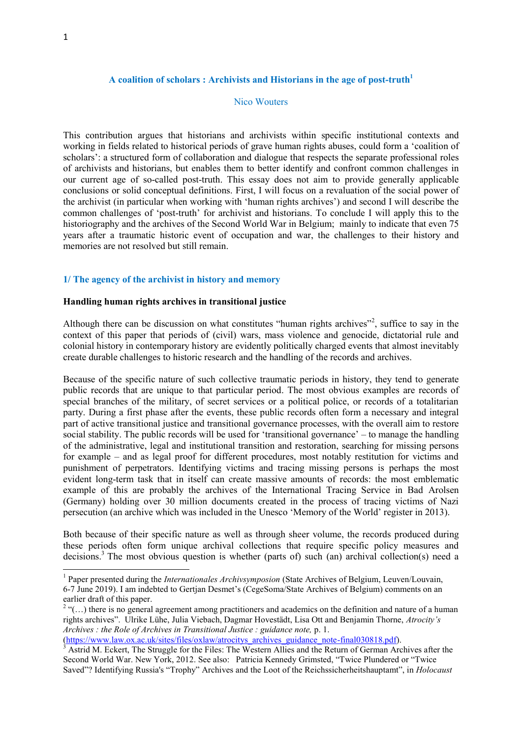**.** 

## **A coalition of scholars : Archivists and Historians in the age of post-truth<sup>1</sup>**

### Nico Wouters

This contribution argues that historians and archivists within specific institutional contexts and working in fields related to historical periods of grave human rights abuses, could form a 'coalition of scholars': a structured form of collaboration and dialogue that respects the separate professional roles of archivists and historians, but enables them to better identify and confront common challenges in our current age of so-called post-truth. This essay does not aim to provide generally applicable conclusions or solid conceptual definitions. First, I will focus on a revaluation of the social power of the archivist (in particular when working with 'human rights archives') and second I will describe the common challenges of 'post-truth' for archivist and historians. To conclude I will apply this to the historiography and the archives of the Second World War in Belgium; mainly to indicate that even 75 years after a traumatic historic event of occupation and war, the challenges to their history and memories are not resolved but still remain.

#### **1/ The agency of the archivist in history and memory**

### **Handling human rights archives in transitional justice**

Although there can be discussion on what constitutes "human rights archives"<sup>2</sup>, suffice to say in the context of this paper that periods of (civil) wars, mass violence and genocide, dictatorial rule and colonial history in contemporary history are evidently politically charged events that almost inevitably create durable challenges to historic research and the handling of the records and archives.

Because of the specific nature of such collective traumatic periods in history, they tend to generate public records that are unique to that particular period. The most obvious examples are records of special branches of the military, of secret services or a political police, or records of a totalitarian party. During a first phase after the events, these public records often form a necessary and integral part of active transitional justice and transitional governance processes, with the overall aim to restore social stability. The public records will be used for 'transitional governance' – to manage the handling of the administrative, legal and institutional transition and restoration, searching for missing persons for example – and as legal proof for different procedures, most notably restitution for victims and punishment of perpetrators. Identifying victims and tracing missing persons is perhaps the most evident long-term task that in itself can create massive amounts of records: the most emblematic example of this are probably the archives of the International Tracing Service in Bad Arolsen (Germany) holding over 30 million documents created in the process of tracing victims of Nazi persecution (an archive which was included in the Unesco 'Memory of the World' register in 2013).

Both because of their specific nature as well as through sheer volume, the records produced during these periods often form unique archival collections that require specific policy measures and decisions.<sup>3</sup> The most obvious question is whether (parts of) such (an) archival collection(s) need a

<sup>&</sup>lt;sup>1</sup> Paper presented during the *Internationales Archivsymposion* (State Archives of Belgium, Leuven/Louvain, 6-7 June 2019). I am indebted to Gertjan Desmet's (CegeSoma/State Archives of Belgium) comments on an earlier draft of this paper.

 $2^{\alpha}$  "(...) there is no general agreement among practitioners and academics on the definition and nature of a human rights archives". Ulrike Lühe, Julia Viebach, Dagmar Hovestädt, Lisa Ott and Benjamin Thorne, *Atrocity's Archives : the Role of Archives in Transitional Justice : guidance note,* p. 1. [\(https://www.law.ox.ac.uk/sites/files/oxlaw/atrocitys\\_archives\\_guidance\\_note-final030818.pdf\)](https://www.law.ox.ac.uk/sites/files/oxlaw/atrocitys_archives_guidance_note-final030818.pdf).

<sup>3</sup> Astrid M. Eckert, The Struggle for the Files: The Western Allies and the Return of German Archives after the Second World War. New York, 2012. See also: Patricia Kennedy Grimsted, "Twice Plundered or "Twice Saved"? Identifying Russia's "Trophy" Archives and the Loot of the Reichssicherheitshauptamt", in *Holocaust*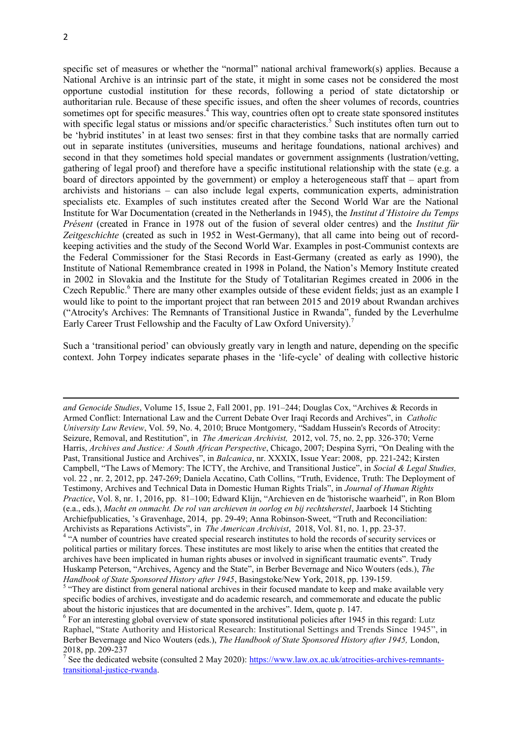1

specific set of measures or whether the "normal" national archival framework(s) applies. Because a National Archive is an intrinsic part of the state, it might in some cases not be considered the most opportune custodial institution for these records, following a period of state dictatorship or authoritarian rule. Because of these specific issues, and often the sheer volumes of records, countries sometimes opt for specific measures.<sup>4</sup> This way, countries often opt to create state sponsored institutes with specific legal status or missions and/or specific characteristics.<sup>5</sup> Such institutes often turn out to be 'hybrid institutes' in at least two senses: first in that they combine tasks that are normally carried out in separate institutes (universities, museums and heritage foundations, national archives) and second in that they sometimes hold special mandates or government assignments (lustration/vetting, gathering of legal proof) and therefore have a specific institutional relationship with the state (e.g. a board of directors appointed by the government) or employ a heterogeneous staff that – apart from archivists and historians – can also include legal experts, communication experts, administration specialists etc. Examples of such institutes created after the Second World War are the National Institute for War Documentation (created in the Netherlands in 1945), the *Institut d'Histoire du Temps Présent* (created in France in 1978 out of the fusion of several older centres) and the *Institut für Zeitgeschichte* (created as such in 1952 in West-Germany), that all came into being out of recordkeeping activities and the study of the Second World War. Examples in post-Communist contexts are the Federal Commissioner for the Stasi Records in East-Germany (created as early as 1990), the Institute of National Remembrance created in 1998 in Poland, the Nation's Memory Institute created in 2002 in Slovakia and the Institute for the Study of Totalitarian Regimes created in 2006 in the Czech Republic.<sup>6</sup> There are many other examples outside of these evident fields; just as an example I would like to point to the important project that ran between 2015 and 2019 about Rwandan archives ("Atrocity's Archives: The Remnants of Transitional Justice in Rwanda", funded by the Leverhulme Early Career Trust Fellowship and the Faculty of Law Oxford University).<sup>7</sup>

Such a 'transitional period' can obviously greatly vary in length and nature, depending on the specific context. John Torpey indicates separate phases in the 'life-cycle' of dealing with collective historic

*and Genocide Studies*, Volume 15, Issue 2, Fall 2001, pp. 191–244; Douglas Cox, "Archives & Records in Armed Conflict: International Law and the Current Debate Over Iraqi Records and Archives", in *Catholic University Law Review*, Vol. 59, No. 4, 2010; Bruce Montgomery, "Saddam Hussein's Records of Atrocity: Seizure, Removal, and Restitution", in *The American Archivist,* 2012, vol. 75, no. 2, pp. 326-370; Verne Harris, *Archives and Justice: A South African Perspective*, Chicago, 2007; Despina Syrri, "On Dealing with the Past, Transitional Justice and Archives", in *Balcanica*, nr. XXXIX, Issue Year: 2008, pp. 221-242; Kirsten Campbell, "The Laws of Memory: The ICTY, the Archive, and Transitional Justice", in *Social & Legal Studies,* vol. 22 , nr. 2, 2012, pp. 247-269; Daniela Accatino, Cath Collins, "Truth, Evidence, Truth: The Deployment of Testimony, Archives and Technical Data in Domestic Human Rights Trials", in *Journal of Human Rights Practice*, Vol. 8, nr. 1, 2016, pp. 81–100; Edward Klijn, "Archieven en de 'historische waarheid", in Ron Blom (e.a., eds.), *Macht en onmacht. De rol van archieven in oorlog en bij rechtsherstel*, Jaarboek 14 Stichting Archiefpublicaties, 's Gravenhage, 2014, pp. 29-49; Anna Robinson-Sweet, "Truth and Reconciliation:

Archivists as Reparations Activists", in *The American Archivist*, 2018, Vol. 81, no. 1, pp. 23-37.<br><sup>4</sup> "A number of countries have created special research institutes to hold the records of security services or political parties or military forces. These institutes are most likely to arise when the entities that created the archives have been implicated in human rights abuses or involved in significant traumatic events". Trudy Huskamp Peterson, "Archives, Agency and the State", in Berber Bevernage and Nico Wouters (eds.), *The Handbook of State Sponsored History after 1945*, Basingstoke/New York, 2018, pp. 139-159.

<sup>&</sup>lt;sup>5</sup> "They are distinct from general national archives in their focused mandate to keep and make available very specific bodies of archives, investigate and do academic research, and commemorate and educate the public about the historic injustices that are documented in the archives". Idem, quote p. 147.

<sup>&</sup>lt;sup>6</sup> For an interesting global overview of state sponsored institutional policies after 1945 in this regard: Lutz Raphael, "State Authority and Historical Research: Institutional Settings and Trends Since 1945", in Berber Bevernage and Nico Wouters (eds.), *The Handbook of State Sponsored History after 1945,* London, 2018, pp. 209-237

<sup>&</sup>lt;sup>7</sup> See the dedicated website (consulted 2 May 2020): [https://www.law.ox.ac.uk/atrocities-archives-remnants](https://www.law.ox.ac.uk/atrocities-archives-remnants-transitional-justice-rwanda)[transitional-justice-rwanda.](https://www.law.ox.ac.uk/atrocities-archives-remnants-transitional-justice-rwanda)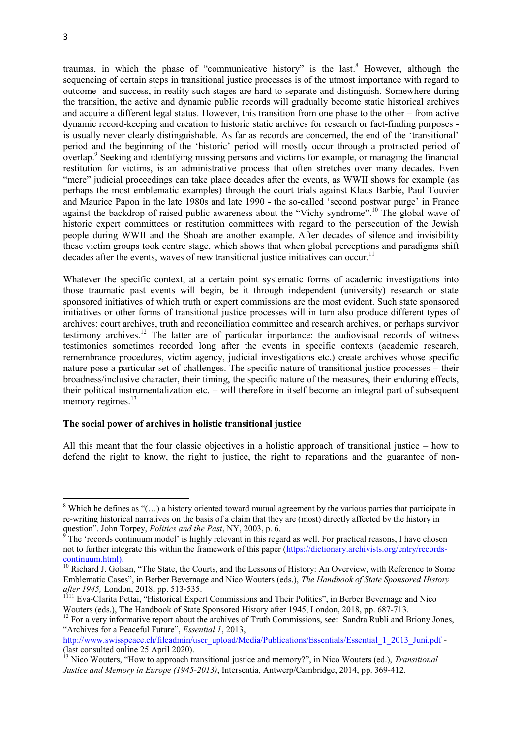**.** 

traumas, in which the phase of "communicative history" is the last.<sup>8</sup> However, although the sequencing of certain steps in transitional justice processes is of the utmost importance with regard to outcome and success, in reality such stages are hard to separate and distinguish. Somewhere during the transition, the active and dynamic public records will gradually become static historical archives and acquire a different legal status. However, this transition from one phase to the other – from active dynamic record-keeping and creation to historic static archives for research or fact-finding purposes is usually never clearly distinguishable. As far as records are concerned, the end of the 'transitional' period and the beginning of the 'historic' period will mostly occur through a protracted period of overlap.<sup>9</sup> Seeking and identifying missing persons and victims for example, or managing the financial restitution for victims, is an administrative process that often stretches over many decades. Even "mere" judicial proceedings can take place decades after the events, as WWII shows for example (as perhaps the most emblematic examples) through the court trials against Klaus Barbie, Paul Touvier and Maurice Papon in the late 1980s and late 1990 - the so-called 'second postwar purge' in France against the backdrop of raised public awareness about the "Vichy syndrome".<sup>10</sup> The global wave of historic expert committees or restitution committees with regard to the persecution of the Jewish people during WWII and the Shoah are another example. After decades of silence and invisibility these victim groups took centre stage, which shows that when global perceptions and paradigms shift decades after the events, waves of new transitional justice initiatives can occur.<sup>11</sup>

Whatever the specific context, at a certain point systematic forms of academic investigations into those traumatic past events will begin, be it through independent (university) research or state sponsored initiatives of which truth or expert commissions are the most evident. Such state sponsored initiatives or other forms of transitional justice processes will in turn also produce different types of archives: court archives, truth and reconciliation committee and research archives, or perhaps survivor testimony archives.<sup>12</sup> The latter are of particular importance: the audiovisual records of witness testimonies sometimes recorded long after the events in specific contexts (academic research, remembrance procedures, victim agency, judicial investigations etc.) create archives whose specific nature pose a particular set of challenges. The specific nature of transitional justice processes – their broadness/inclusive character, their timing, the specific nature of the measures, their enduring effects, their political instrumentalization etc. – will therefore in itself become an integral part of subsequent memory regimes.<sup>13</sup>

# **The social power of archives in holistic transitional justice**

All this meant that the four classic objectives in a holistic approach of transitional justice – how to defend the right to know, the right to justice, the right to reparations and the guarantee of non-

<sup>&</sup>lt;sup>8</sup> Which he defines as " $\ldots$ ) a history oriented toward mutual agreement by the various parties that participate in re-writing historical narratives on the basis of a claim that they are (most) directly affected by the history in question". John Torpey, *Politics and the Past*, NY, 2003, p. 6.

<sup>9</sup> The 'records continuum model' is highly relevant in this regard as well. For practical reasons, I have chosen not to further integrate this within the framework of this paper [\(https://dictionary.archivists.org/entry/records](https://dictionary.archivists.org/entry/records-continuum.html)[continuum.html\)](https://dictionary.archivists.org/entry/records-continuum.html).

<sup>&</sup>lt;sup>10</sup> Richard J. Golsan, "The State, the Courts, and the Lessons of History: An Overview, with Reference to Some Emblematic Cases", in Berber Bevernage and Nico Wouters (eds.), *The Handbook of State Sponsored History after 1945,* London, 2018, pp. 513-535.

<sup>&</sup>lt;sup>1111</sup> Eva-Clarita Pettai, "Historical Expert Commissions and Their Politics", in Berber Bevernage and Nico Wouters (eds.), The Handbook of State Sponsored History after 1945, London, 2018, pp. 687-713.

<sup>&</sup>lt;sup>12</sup> For a very informative report about the archives of Truth Commissions, see: Sandra Rubli and Briony Jones, "Archives for a Peaceful Future", *Essential 1*, 2013,

[http://www.swisspeace.ch/fileadmin/user\\_upload/Media/Publications/Essentials/Essential\\_1\\_2013\\_Juni.pdf](https://mail.uantwerpen.be/owa/redir.aspx?C=pZ3nBCOKfkaMKScLhrmTYEpCGOfjSNIIRKgplAvfqIdpnotfuDWQtNkL1uzJt9hDSM3OnFezYUg.&URL=http%3a%2f%2fwww.swisspeace.ch%2ffileadmin%2fuser_upload%2fMedia%2fPublications%2fEssentials%2fEssential_1_2013_Juni.pdf) -(last consulted online 25 April 2020).

<sup>13</sup> Nico Wouters, "How to approach transitional justice and memory?", in Nico Wouters (ed.), *Transitional Justice and Memory in Europe (1945-2013)*, Intersentia, Antwerp/Cambridge, 2014, pp. 369-412.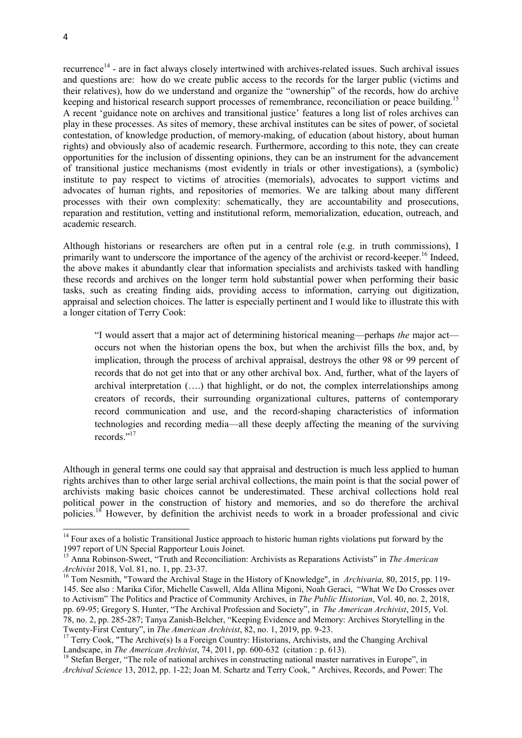recurrence<sup>14</sup> - are in fact always closely intertwined with archives-related issues. Such archival issues and questions are: how do we create public access to the records for the larger public (victims and their relatives), how do we understand and organize the "ownership" of the records, how do archive keeping and historical research support processes of remembrance, reconciliation or peace building.<sup>15</sup> A recent 'guidance note on archives and transitional justice' features a long list of roles archives can play in these processes. As sites of memory, these archival institutes can be sites of power, of societal contestation, of knowledge production, of memory-making, of education (about history, about human rights) and obviously also of academic research. Furthermore, according to this note, they can create opportunities for the inclusion of dissenting opinions, they can be an instrument for the advancement of transitional justice mechanisms (most evidently in trials or other investigations), a (symbolic) institute to pay respect to victims of atrocities (memorials), advocates to support victims and advocates of human rights, and repositories of memories. We are talking about many different processes with their own complexity: schematically, they are accountability and prosecutions, reparation and restitution, vetting and institutional reform, memorialization, education, outreach, and academic research.

Although historians or researchers are often put in a central role (e.g. in truth commissions), I primarily want to underscore the importance of the agency of the archivist or record-keeper.<sup>16</sup> Indeed, the above makes it abundantly clear that information specialists and archivists tasked with handling these records and archives on the longer term hold substantial power when performing their basic tasks, such as creating finding aids, providing access to information, carrying out digitization, appraisal and selection choices. The latter is especially pertinent and I would like to illustrate this with a longer citation of Terry Cook:

"I would assert that a major act of determining historical meaning—perhaps *the* major act occurs not when the historian opens the box, but when the archivist fills the box, and, by implication, through the process of archival appraisal, destroys the other 98 or 99 percent of records that do not get into that or any other archival box. And, further, what of the layers of archival interpretation (….) that highlight, or do not, the complex interrelationships among creators of records, their surrounding organizational cultures, patterns of contemporary record communication and use, and the record-shaping characteristics of information technologies and recording media—all these deeply affecting the meaning of the surviving records<sup>"17</sup>

Although in general terms one could say that appraisal and destruction is much less applied to human rights archives than to other large serial archival collections, the main point is that the social power of archivists making basic choices cannot be underestimated. These archival collections hold real political power in the construction of history and memories, and so do therefore the archival policies.<sup>18</sup> However, by definition the archivist needs to work in a broader professional and civic

<sup>&</sup>lt;sup>14</sup> Four axes of a holistic Transitional Justice approach to historic human rights violations put forward by the 1997 report of UN Special Rapporteur Louis Joinet.

<sup>15</sup> Anna Robinson-Sweet, "Truth and Reconciliation: Archivists as Reparations Activists" in *The American Archivist* 2018, Vol. 81, no. 1, pp. 23-37.

<sup>16</sup> Tom Nesmith, "Toward the Archival Stage in the History of Knowledge", in *Archivaria,* 80, 2015, pp. 119- 145. See also : Marika Cifor, Michelle Caswell, Alda Allina Migoni, Noah Geraci, "What We Do Crosses over to Activism" The Politics and Practice of Community Archives, in *The Public Historian*, Vol. 40, no. 2, 2018, pp. 69-95; Gregory S. Hunter, "The Archival Profession and Society", in *The American Archivist*, 2015, Vol. 78, no. 2, pp. 285-287; Tanya Zanish-Belcher, "Keeping Evidence and Memory: Archives Storytelling in the Twenty-First Century", in *The American Archivist*, 82, no. 1, 2019, pp. 9-23.

<sup>&</sup>lt;sup>17</sup> Terry Cook, "The Archive(s) Is a Foreign Country: Historians, Archivists, and the Changing Archival Landscape, in *The American Archivist*, 74, 2011, pp. 600-632 (citation : p. 613).

<sup>&</sup>lt;sup>18</sup> Stefan Berger, "The role of national archives in constructing national master narratives in Europe", in *Archival Science* 13, 2012, pp. 1-22; Joan M. Schartz and Terry Cook, " Archives, Records, and Power: The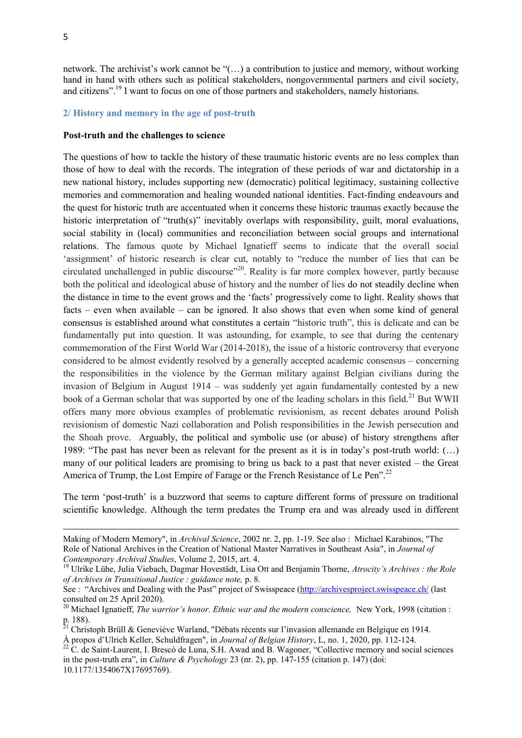5

**.** 

network. The archivist's work cannot be "(…) a contribution to justice and memory, without working hand in hand with others such as political stakeholders, nongovernmental partners and civil society, and citizens".<sup>19</sup> I want to focus on one of those partners and stakeholders, namely historians.

### **2/ History and memory in the age of post-truth**

#### **Post-truth and the challenges to science**

The questions of how to tackle the history of these traumatic historic events are no less complex than those of how to deal with the records. The integration of these periods of war and dictatorship in a new national history, includes supporting new (democratic) political legitimacy, sustaining collective memories and commemoration and healing wounded national identities. Fact-finding endeavours and the quest for historic truth are accentuated when it concerns these historic traumas exactly because the historic interpretation of "truth(s)" inevitably overlaps with responsibility, guilt, moral evaluations, social stability in (local) communities and reconciliation between social groups and international relations. The famous quote by Michael Ignatieff seems to indicate that the overall social 'assignment' of historic research is clear cut, notably to "reduce the number of lies that can be circulated unchallenged in public discourse"<sup>20</sup>. Reality is far more complex however, partly because both the political and ideological abuse of history and the number of lies do not steadily decline when the distance in time to the event grows and the 'facts' progressively come to light. Reality shows that facts – even when available – can be ignored. It also shows that even when some kind of general consensus is established around what constitutes a certain "historic truth", this is delicate and can be fundamentally put into question. It was astounding, for example, to see that during the centenary commemoration of the First World War (2014-2018), the issue of a historic controversy that everyone considered to be almost evidently resolved by a generally accepted academic consensus – concerning the responsibilities in the violence by the German military against Belgian civilians during the invasion of Belgium in August 1914 – was suddenly yet again fundamentally contested by a new book of a German scholar that was supported by one of the leading scholars in this field.<sup>21</sup> But WWII offers many more obvious examples of problematic revisionism, as recent debates around Polish revisionism of domestic Nazi collaboration and Polish responsibilities in the Jewish persecution and the Shoah prove. Arguably, the political and symbolic use (or abuse) of history strengthens after 1989: "The past has never been as relevant for the present as it is in today's post-truth world: (…) many of our political leaders are promising to bring us back to a past that never existed – the Great America of Trump, the Lost Empire of Farage or the French Resistance of Le Pen<sup>".22</sup>

The term 'post-truth' is a buzzword that seems to capture different forms of pressure on traditional scientific knowledge. Although the term predates the Trump era and was already used in different

Making of Modern Memory", in *Archival Science*, 2002 nr. 2, pp. 1-19. See also : Michael Karabinos, "The Role of National Archives in the Creation of National Master Narratives in Southeast Asia", in *Journal of Contemporary Archival Studies*, Volume 2, 2015, art. 4.

<sup>19</sup> Ulrike Lühe, Julia Viebach, Dagmar Hovestädt, Lisa Ott and Benjamin Thorne, *Atrocity's Archives : the Role of Archives in Transitional Justice : guidance note,* p. 8.

See : "Archives and Dealing with the Past" project of Swisspeace [\(http://archivesproject.swisspeace.ch/](http://archivesproject.swisspeace.ch/) (last consulted on 25 April 2020).

<sup>&</sup>lt;sup>20</sup> Michael Ignatieff, *The warrior's honor. Ethnic war and the modern conscience*, New York, 1998 (citation : p. 188).

<sup>&</sup>lt;sup>21</sup> Christoph Brüll & Geneviève Warland, "Débats récents sur l'invasion allemande en Belgique en 1914. À propos d'Ulrich Keller, Schuldfragen", in *Journal of Belgian History*, L, no. 1, 2020, pp. 112-124.

<sup>&</sup>lt;sup>22</sup> C. de Saint-Laurent, I. Brescó de Luna, S.H. Awad and B. Wagoner, "Collective memory and social sciences" in the post-truth era", in *Culture & Psychology* 23 (nr. 2), pp. 147-155 (citation p. 147) (doi: 10.1177/1354067X17695769).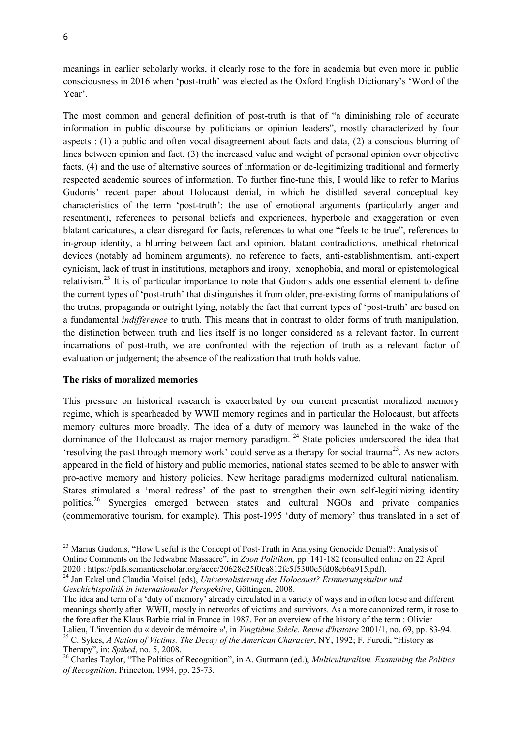meanings in earlier scholarly works, it clearly rose to the fore in academia but even more in public consciousness in 2016 when 'post-truth' was elected as the Oxford English Dictionary's 'Word of the Year'.

The most common and general definition of post-truth is that of "a diminishing role of accurate information in public discourse by politicians or opinion leaders", mostly characterized by four aspects : (1) a public and often vocal disagreement about facts and data, (2) a conscious blurring of lines between opinion and fact, (3) the increased value and weight of personal opinion over objective facts, (4) and the use of alternative sources of information or de-legitimizing traditional and formerly respected academic sources of information. To further fine-tune this, I would like to refer to Marius Gudonis' recent paper about Holocaust denial, in which he distilled several conceptual key characteristics of the term 'post-truth': the use of emotional arguments (particularly anger and resentment), references to personal beliefs and experiences, hyperbole and exaggeration or even blatant caricatures, a clear disregard for facts, references to what one "feels to be true", references to in-group identity, a blurring between fact and opinion, blatant contradictions, unethical rhetorical devices (notably ad hominem arguments), no reference to facts, anti-establishmentism, anti-expert cynicism, lack of trust in institutions, metaphors and irony, xenophobia, and moral or epistemological relativism.<sup>23</sup> It is of particular importance to note that Gudonis adds one essential element to define the current types of 'post-truth' that distinguishes it from older, pre-existing forms of manipulations of the truths, propaganda or outright lying, notably the fact that current types of 'post-truth' are based on a fundamental *indifference* to truth. This means that in contrast to older forms of truth manipulation, the distinction between truth and lies itself is no longer considered as a relevant factor. In current incarnations of post-truth, we are confronted with the rejection of truth as a relevant factor of evaluation or judgement; the absence of the realization that truth holds value.

# **The risks of moralized memories**

 $\overline{a}$ 

This pressure on historical research is exacerbated by our current presentist moralized memory regime, which is spearheaded by WWII memory regimes and in particular the Holocaust, but affects memory cultures more broadly. The idea of a duty of memory was launched in the wake of the dominance of the Holocaust as major memory paradigm.<sup>24</sup> State policies underscored the idea that 'resolving the past through memory work' could serve as a therapy for social trauma<sup>25</sup>. As new actors appeared in the field of history and public memories, national states seemed to be able to answer with pro-active memory and history policies. New heritage paradigms modernized cultural nationalism. States stimulated a 'moral redress' of the past to strengthen their own self-legitimizing identity politics.<sup>26</sup> Synergies emerged between states and cultural NGOs and private companies (commemorative tourism, for example). This post-1995 'duty of memory' thus translated in a set of

<sup>&</sup>lt;sup>23</sup> Marius Gudonis, "How Useful is the Concept of Post-Truth in Analysing Genocide Denial?: Analysis of Online Comments on the Jedwabne Massacre", in *Zoon Politikon,* pp. 141-182 (consulted online on 22 April 2020 : https://pdfs.semanticscholar.org/acec/20628c25f0ca812fc5f5300e5fd08cb6a915.pdf).

<sup>24</sup> Jan Eckel und Claudia Moisel (eds), *Universalisierung des Holocaust? Erinnerungskultur und Geschichtspolitik in internationaler Perspektive*, Göttingen, 2008.

The idea and term of a 'duty of memory' already circulated in a variety of ways and in often loose and different meanings shortly after WWII, mostly in networks of victims and survivors. As a more canonized term, it rose to the fore after the Klaus Barbie trial in France in 1987. For an overview of the history of the term : Olivier Lalieu, 'L'invention du « devoir de mémoire »', in *Vingtième Siècle. Revue d'histoire* 2001/1, no. 69, pp. 83-94. <sup>25</sup> C. Sykes, *A Nation of Victims. The Decay of the American Character*, NY, 1992; F. Furedi, "History as Therapy", in: *Spiked*, no. 5, 2008.

<sup>26</sup> Charles Taylor, "The Politics of Recognition", in A. Gutmann (ed.), *Multiculturalism. Examining the Politics of Recognition*, Princeton, 1994, pp. 25-73.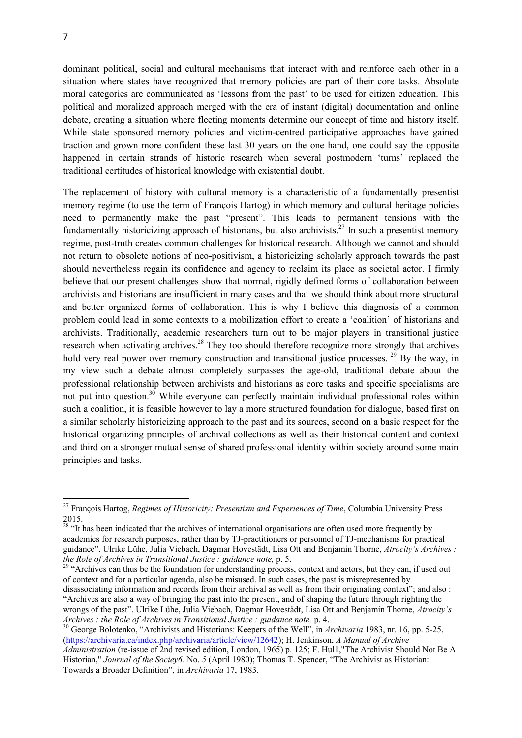dominant political, social and cultural mechanisms that interact with and reinforce each other in a situation where states have recognized that memory policies are part of their core tasks. Absolute moral categories are communicated as 'lessons from the past' to be used for citizen education. This political and moralized approach merged with the era of instant (digital) documentation and online debate, creating a situation where fleeting moments determine our concept of time and history itself. While state sponsored memory policies and victim-centred participative approaches have gained traction and grown more confident these last 30 years on the one hand, one could say the opposite happened in certain strands of historic research when several postmodern 'turns' replaced the traditional certitudes of historical knowledge with existential doubt.

The replacement of history with cultural memory is a characteristic of a fundamentally presentist memory regime (to use the term of François Hartog) in which memory and cultural heritage policies need to permanently make the past "present". This leads to permanent tensions with the fundamentally historicizing approach of historians, but also archivists.<sup>27</sup> In such a presentist memory regime, post-truth creates common challenges for historical research. Although we cannot and should not return to obsolete notions of neo-positivism, a historicizing scholarly approach towards the past should nevertheless regain its confidence and agency to reclaim its place as societal actor. I firmly believe that our present challenges show that normal, rigidly defined forms of collaboration between archivists and historians are insufficient in many cases and that we should think about more structural and better organized forms of collaboration. This is why I believe this diagnosis of a common problem could lead in some contexts to a mobilization effort to create a 'coalition' of historians and archivists. Traditionally, academic researchers turn out to be major players in transitional justice research when activating archives.<sup>28</sup> They too should therefore recognize more strongly that archives hold very real power over memory construction and transitional justice processes. <sup>29</sup> By the way, in my view such a debate almost completely surpasses the age-old, traditional debate about the professional relationship between archivists and historians as core tasks and specific specialisms are not put into question.<sup>30</sup> While everyone can perfectly maintain individual professional roles within such a coalition, it is feasible however to lay a more structured foundation for dialogue, based first on a similar scholarly historicizing approach to the past and its sources, second on a basic respect for the historical organizing principles of archival collections as well as their historical content and context and third on a stronger mutual sense of shared professional identity within society around some main principles and tasks.

<sup>30</sup> George Bolotenko, "Archivists and Historians: Keepers of the Well", in *Archivaria* 1983, nr. 16, pp. 5-25. [\(https://archivaria.ca/index.php/archivaria/article/view/12642\)](https://archivaria.ca/index.php/archivaria/article/view/12642); H. Jenkinson, *A Manual of Archive Administration* (re-issue of 2nd revised edition, London, 1965) p. 125; F. Hul1,"The Archivist Should Not Be A Historian," *Journal of the Sociey6.* No. *5* (April 1980); Thomas T. Spencer, "The Archivist as Historian:

Towards a Broader Definition", in *Archivaria* 17, 1983.

<sup>27</sup> François Hartog, *Regimes of Historicity: Presentism and Experiences of Time*, Columbia University Press 2015.

<sup>&</sup>lt;sup>28</sup> "It has been indicated that the archives of international organisations are often used more frequently by academics for research purposes, rather than by TJ-practitioners or personnel of TJ-mechanisms for practical guidance". Ulrike Lühe, Julia Viebach, Dagmar Hovestädt, Lisa Ott and Benjamin Thorne, *Atrocity's Archives : the Role of Archives in Transitional Justice : guidance note,* p. 5.

<sup>&</sup>lt;sup>29</sup> "Archives can thus be the foundation for understanding process, context and actors, but they can, if used out of context and for a particular agenda, also be misused. In such cases, the past is misrepresented by

disassociating information and records from their archival as well as from their originating context"; and also : "Archives are also a way of bringing the past into the present, and of shaping the future through righting the wrongs of the past". Ulrike Lühe, Julia Viebach, Dagmar Hovestädt, Lisa Ott and Benjamin Thorne, *Atrocity's Archives : the Role of Archives in Transitional Justice : guidance note,* p. 4.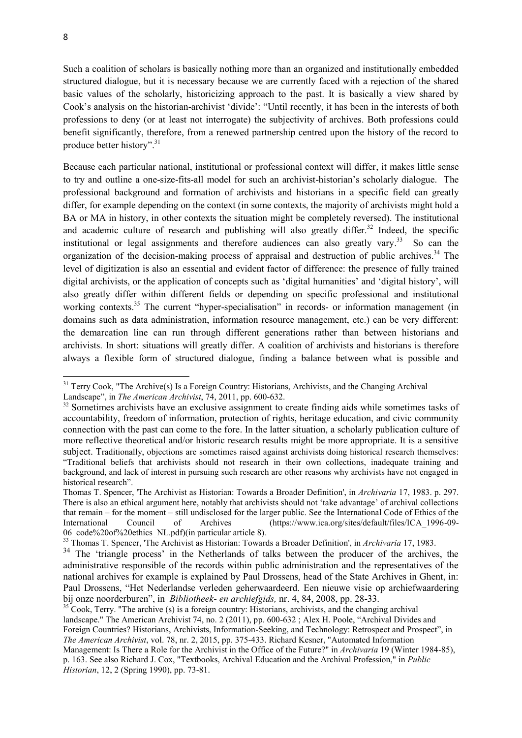Such a coalition of scholars is basically nothing more than an organized and institutionally embedded structured dialogue, but it is necessary because we are currently faced with a rejection of the shared basic values of the scholarly, historicizing approach to the past. It is basically a view shared by Cook's analysis on the historian-archivist 'divide': "Until recently, it has been in the interests of both professions to deny (or at least not interrogate) the subjectivity of archives. Both professions could benefit significantly, therefore, from a renewed partnership centred upon the history of the record to produce better history".<sup>31</sup>

Because each particular national, institutional or professional context will differ, it makes little sense to try and outline a one-size-fits-all model for such an archivist-historian's scholarly dialogue. The professional background and formation of archivists and historians in a specific field can greatly differ, for example depending on the context (in some contexts, the majority of archivists might hold a BA or MA in history, in other contexts the situation might be completely reversed). The institutional and academic culture of research and publishing will also greatly differ.<sup>32</sup> Indeed, the specific institutional or legal assignments and therefore audiences can also greatly vary.<sup>33</sup> So can the organization of the decision-making process of appraisal and destruction of public archives.<sup>34</sup> The level of digitization is also an essential and evident factor of difference: the presence of fully trained digital archivists, or the application of concepts such as 'digital humanities' and 'digital history', will also greatly differ within different fields or depending on specific professional and institutional working contexts.<sup>35</sup> The current "hyper-specialisation" in records- or information management (in domains such as data administration, information resource management, etc.) can be very different: the demarcation line can run through different generations rather than between historians and archivists. In short: situations will greatly differ. A coalition of archivists and historians is therefore always a flexible form of structured dialogue, finding a balance between what is possible and

Landscape", in *The American Archivist*, 74, 2011, pp. 600-632.

historical research".

 $\overline{a}$ 

<sup>&</sup>lt;sup>31</sup> Terry Cook, "The Archive(s) Is a Foreign Country: Historians, Archivists, and the Changing Archival

<sup>&</sup>lt;sup>32</sup> Sometimes archivists have an exclusive assignment to create finding aids while sometimes tasks of accountability, freedom of information, protection of rights, heritage education, and civic community connection with the past can come to the fore. In the latter situation, a scholarly publication culture of more reflective theoretical and/or historic research results might be more appropriate. It is a sensitive subject. Traditionally, objections are sometimes raised against archivists doing historical research themselves: "Traditional beliefs that archivists should not research in their own collections, inadequate training and background, and lack of interest in pursuing such research are other reasons why archivists have not engaged in

Thomas T. Spencer, 'The Archivist as Historian: Towards a Broader Definition', in *Archivaria* 17, 1983. p. 297. There is also an ethical argument here, notably that archivists should not 'take advantage' of archival collections that remain – for the moment – still undisclosed for the larger public. See the International Code of Ethics of the International Council of Archives (https://www.ica.org/sites/default/files/ICA\_1996-09- 06 code%20of%20ethics NL.pdf)(in particular article 8).

<sup>&</sup>lt;sup>33</sup> Thomas T. Spencer, 'The Archivist as Historian: Towards a Broader Definition', in *Archivaria* 17, 1983.

<sup>&</sup>lt;sup>34</sup> The 'triangle process' in the Netherlands of talks between the producer of the archives, the administrative responsible of the records within public administration and the representatives of the national archives for example is explained by Paul Drossens, head of the State Archives in Ghent, in: Paul Drossens, "Het Nederlandse verleden geherwaardeerd. Een nieuwe visie op archiefwaardering bij onze noorderburen", in *Bibliotheek- en archiefgids,* nr. 4, 84, 2008, pp. 28-33.

 $35^{\circ}$ Cook, Terry. "The archive (s) is a foreign country: Historians, archivists, and the changing archival landscape." The American Archivist 74, no. 2 (2011), pp. 600-632 ; Alex H. Poole, "Archival Divides and Foreign Countries? Historians, Archivists, Information-Seeking, and Technology: Retrospect and Prospect", in *The American Archivist*, vol. 78, nr. 2, 2015, pp. 375-433. Richard Kesner, "Automated Information Management: Is There a Role for the Archivist in the Office of the Future?" in *Archivaria* 19 (Winter 1984-85), p. 163. See also Richard J. Cox, "Textbooks, Archival Education and the Archival Profession," in *Public Historian*, 12, 2 (Spring 1990), pp. 73-81.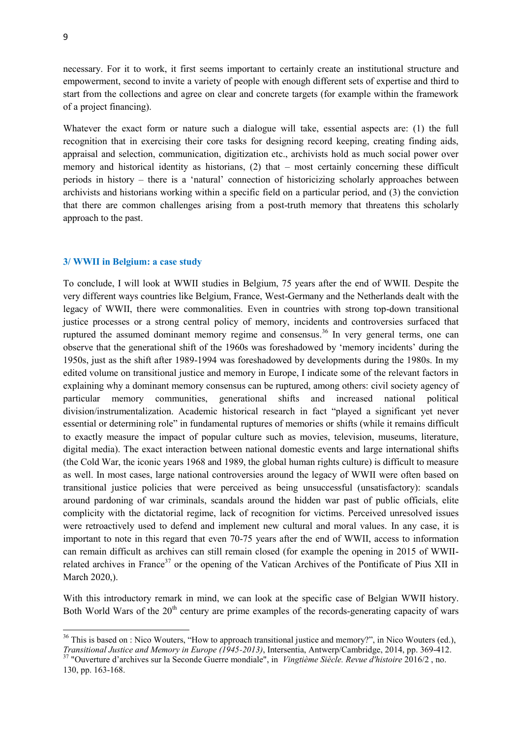necessary. For it to work, it first seems important to certainly create an institutional structure and empowerment, second to invite a variety of people with enough different sets of expertise and third to start from the collections and agree on clear and concrete targets (for example within the framework of a project financing).

Whatever the exact form or nature such a dialogue will take, essential aspects are: (1) the full recognition that in exercising their core tasks for designing record keeping, creating finding aids, appraisal and selection, communication, digitization etc., archivists hold as much social power over memory and historical identity as historians, (2) that – most certainly concerning these difficult periods in history – there is a 'natural' connection of historicizing scholarly approaches between archivists and historians working within a specific field on a particular period, and (3) the conviction that there are common challenges arising from a post-truth memory that threatens this scholarly approach to the past.

### **3/ WWII in Belgium: a case study**

To conclude, I will look at WWII studies in Belgium, 75 years after the end of WWII. Despite the very different ways countries like Belgium, France, West-Germany and the Netherlands dealt with the legacy of WWII, there were commonalities. Even in countries with strong top-down transitional justice processes or a strong central policy of memory, incidents and controversies surfaced that ruptured the assumed dominant memory regime and consensus.<sup>36</sup> In very general terms, one can observe that the generational shift of the 1960s was foreshadowed by 'memory incidents' during the 1950s, just as the shift after 1989-1994 was foreshadowed by developments during the 1980s. In my edited volume on transitional justice and memory in Europe, I indicate some of the relevant factors in explaining why a dominant memory consensus can be ruptured, among others: civil society agency of particular memory communities, generational shifts and increased national political division/instrumentalization. Academic historical research in fact "played a significant yet never essential or determining role" in fundamental ruptures of memories or shifts (while it remains difficult to exactly measure the impact of popular culture such as movies, television, museums, literature, digital media). The exact interaction between national domestic events and large international shifts (the Cold War, the iconic years 1968 and 1989, the global human rights culture) is difficult to measure as well. In most cases, large national controversies around the legacy of WWII were often based on transitional justice policies that were perceived as being unsuccessful (unsatisfactory): scandals around pardoning of war criminals, scandals around the hidden war past of public officials, elite complicity with the dictatorial regime, lack of recognition for victims. Perceived unresolved issues were retroactively used to defend and implement new cultural and moral values. In any case, it is important to note in this regard that even 70-75 years after the end of WWII, access to information can remain difficult as archives can still remain closed (for example the opening in 2015 of WWIIrelated archives in France<sup>37</sup> or the opening of the Vatican Archives of the Pontificate of Pius XII in March 2020,).

With this introductory remark in mind, we can look at the specific case of Belgian WWII history. Both World Wars of the  $20<sup>th</sup>$  century are prime examples of the records-generating capacity of wars

 $36$  This is based on : Nico Wouters, "How to approach transitional justice and memory?", in Nico Wouters (ed.), *Transitional Justice and Memory in Europe (1945-2013)*, Intersentia, Antwerp/Cambridge, 2014, pp. 369-412. <sup>37</sup> "Ouverture d'archives sur la Seconde Guerre mondiale", in *Vingtième Siècle. Revue d'histoire* 2016/2 , no. 130, pp. 163-168.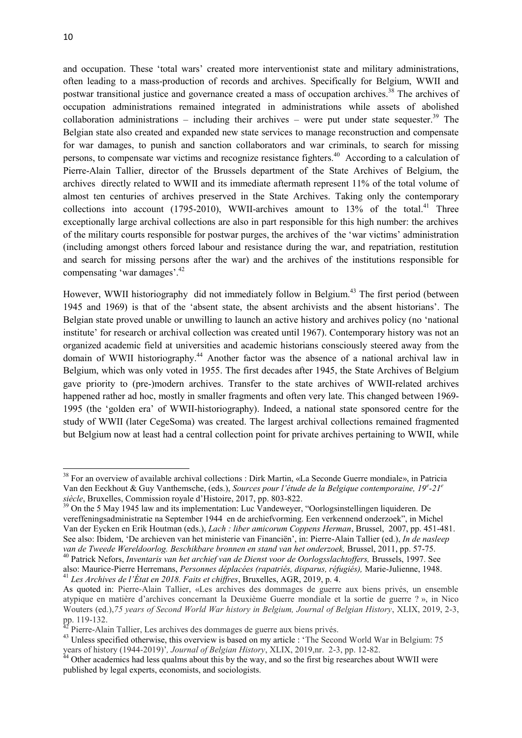**.** 

and occupation. These 'total wars' created more interventionist state and military administrations, often leading to a mass-production of records and archives. Specifically for Belgium, WWII and postwar transitional justice and governance created a mass of occupation archives.<sup>38</sup> The archives of occupation administrations remained integrated in administrations while assets of abolished collaboration administrations – including their archives – were put under state sequester.<sup>39</sup> The Belgian state also created and expanded new state services to manage reconstruction and compensate for war damages, to punish and sanction collaborators and war criminals, to search for missing persons, to compensate war victims and recognize resistance fighters.<sup>40</sup> According to a calculation of Pierre-Alain Tallier, director of the Brussels department of the State Archives of Belgium, the archives directly related to WWII and its immediate aftermath represent 11% of the total volume of almost ten centuries of archives preserved in the State Archives. Taking only the contemporary collections into account (1795-2010), WWII-archives amount to  $13%$  of the total.<sup>41</sup> Three exceptionally large archival collections are also in part responsible for this high number: the archives of the military courts responsible for postwar purges, the archives of the 'war victims' administration (including amongst others forced labour and resistance during the war, and repatriation, restitution and search for missing persons after the war) and the archives of the institutions responsible for compensating 'war damages'. 42

However, WWII historiography did not immediately follow in Belgium.<sup>43</sup> The first period (between 1945 and 1969) is that of the 'absent state, the absent archivists and the absent historians'. The Belgian state proved unable or unwilling to launch an active history and archives policy (no 'national institute' for research or archival collection was created until 1967). Contemporary history was not an organized academic field at universities and academic historians consciously steered away from the domain of WWII historiography. <sup>44</sup> Another factor was the absence of a national archival law in Belgium, which was only voted in 1955. The first decades after 1945, the State Archives of Belgium gave priority to (pre-)modern archives. Transfer to the state archives of WWII-related archives happened rather ad hoc, mostly in smaller fragments and often very late. This changed between 1969- 1995 (the 'golden era' of WWII-historiography). Indeed, a national state sponsored centre for the study of WWII (later CegeSoma) was created. The largest archival collections remained fragmented but Belgium now at least had a central collection point for private archives pertaining to WWII, while

<sup>40</sup> Patrick Nefors, *Inventaris van het archief van de Dienst voor de Oorlogsslachtoffers,* Brussels, 1997. See also: Maurice-Pierre Herremans, *Personnes déplacées (rapatriés, disparus, réfugiés),* Marie-Julienne, 1948. <sup>41</sup> *Les Archives de l'État en 2018. Faits et chiffres*, Bruxelles, AGR, 2019, p. 4.

<sup>&</sup>lt;sup>38</sup> For an overview of available archival collections : Dirk Martin, «La Seconde Guerre mondiale», in Patricia Van den Eeckhout & Guy Vanthemsche, (eds.), *Sources pour l'étude de la Belgique contemporaine, 19<sup>e</sup> -21<sup>e</sup> siècle*, Bruxelles, Commission royale d'Histoire, 2017, pp. 803-822.

<sup>&</sup>lt;sup>39</sup> On the 5 May 1945 law and its implementation: Luc Vandeweyer, "Oorlogsinstellingen liquideren. De vereffeningsadministratie na September 1944 en de archiefvorming. Een verkennend onderzoek", in Michel Van der Eycken en Erik Houtman (eds.), *Lach : liber amicorum Coppens Herman*, Brussel, 2007, pp. 451-481. See also: Ibidem, 'De archieven van het ministerie van Financiën', in: Pierre-Alain Tallier (ed.), *In de nasleep van de Tweede Wereldoorlog. Beschikbare bronnen en stand van het onderzoek,* Brussel, 2011, pp. 57-75.

As quoted in: Pierre-Alain Tallier, «Les archives des dommages de guerre aux biens privés, un ensemble atypique en matière d'archives concernant la Deuxième Guerre mondiale et la sortie de guerre ? », in Nico Wouters (ed.),*75 years of Second World War history in Belgium, Journal of Belgian History*, XLIX, 2019, 2-3, pp. 119-132.

 $42$  Pierre-Alain Tallier, Les archives des dommages de guerre aux biens privés.

<sup>&</sup>lt;sup>43</sup> Unless specified otherwise, this overview is based on my article : 'The Second World War in Belgium: 75 years of history (1944-2019)'*, Journal of Belgian History*, XLIX, 2019,nr. 2-3, pp. 12-82.

 $44$  Other academics had less qualms about this by the way, and so the first big researches about WWII were published by legal experts, economists, and sociologists.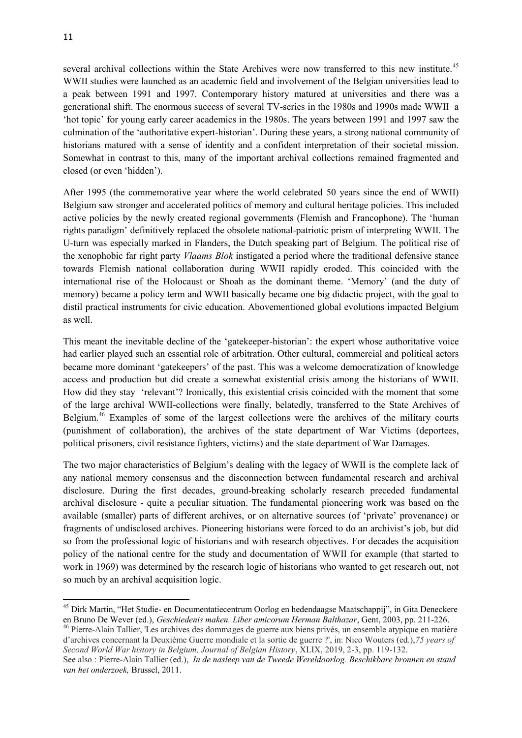several archival collections within the State Archives were now transferred to this new institute.<sup>45</sup> WWII studies were launched as an academic field and involvement of the Belgian universities lead to a peak between 1991 and 1997. Contemporary history matured at universities and there was a generational shift. The enormous success of several TV-series in the 1980s and 1990s made WWII a 'hot topic' for young early career academics in the 1980s. The years between 1991 and 1997 saw the culmination of the 'authoritative expert-historian'. During these years, a strong national community of historians matured with a sense of identity and a confident interpretation of their societal mission. Somewhat in contrast to this, many of the important archival collections remained fragmented and closed (or even 'hidden').

After 1995 (the commemorative year where the world celebrated 50 years since the end of WWII) Belgium saw stronger and accelerated politics of memory and cultural heritage policies. This included active policies by the newly created regional governments (Flemish and Francophone). The 'human rights paradigm' definitively replaced the obsolete national-patriotic prism of interpreting WWII. The U-turn was especially marked in Flanders, the Dutch speaking part of Belgium. The political rise of the xenophobic far right party *Vlaams Blok* instigated a period where the traditional defensive stance towards Flemish national collaboration during WWII rapidly eroded. This coincided with the international rise of the Holocaust or Shoah as the dominant theme. 'Memory' (and the duty of memory) became a policy term and WWII basically became one big didactic project, with the goal to distil practical instruments for civic education. Abovementioned global evolutions impacted Belgium as well.

This meant the inevitable decline of the 'gatekeeper-historian': the expert whose authoritative voice had earlier played such an essential role of arbitration. Other cultural, commercial and political actors became more dominant 'gatekeepers' of the past. This was a welcome democratization of knowledge access and production but did create a somewhat existential crisis among the historians of WWII. How did they stay 'relevant'? Ironically, this existential crisis coincided with the moment that some of the large archival WWII-collections were finally, belatedly, transferred to the State Archives of Belgium.<sup>46</sup> Examples of some of the largest collections were the archives of the military courts (punishment of collaboration), the archives of the state department of War Victims (deportees, political prisoners, civil resistance fighters, victims) and the state department of War Damages.

The two major characteristics of Belgium's dealing with the legacy of WWII is the complete lack of any national memory consensus and the disconnection between fundamental research and archival disclosure. During the first decades, ground-breaking scholarly research preceded fundamental archival disclosure - quite a peculiar situation. The fundamental pioneering work was based on the available (smaller) parts of different archives, or on alternative sources (of 'private' provenance) or fragments of undisclosed archives. Pioneering historians were forced to do an archivist's job, but did so from the professional logic of historians and with research objectives. For decades the acquisition policy of the national centre for the study and documentation of WWII for example (that started to work in 1969) was determined by the research logic of historians who wanted to get research out, not so much by an archival acquisition logic.

<sup>&</sup>lt;sup>45</sup> Dirk Martin, "Het Studie- en Documentatiecentrum Oorlog en hedendaagse Maatschappij", in Gita Deneckere en Bruno De Wever (ed.), *Geschiedenis maken. Liber amicorum Herman Balthazar*, Gent, 2003, pp. 211-226.

<sup>46</sup> Pierre-Alain Tallier, 'Les archives des dommages de guerre aux biens privés, un ensemble atypique en matière d'archives concernant la Deuxième Guerre mondiale et la sortie de guerre ?', in: Nico Wouters (ed.),*75 years of Second World War history in Belgium, Journal of Belgian History*, XLIX, 2019, 2-3, pp. 119-132.

See also : Pierre-Alain Tallier (ed.), *In de nasleep van de Tweede Wereldoorlog. Beschikbare bronnen en stand van het onderzoek,* Brussel, 2011.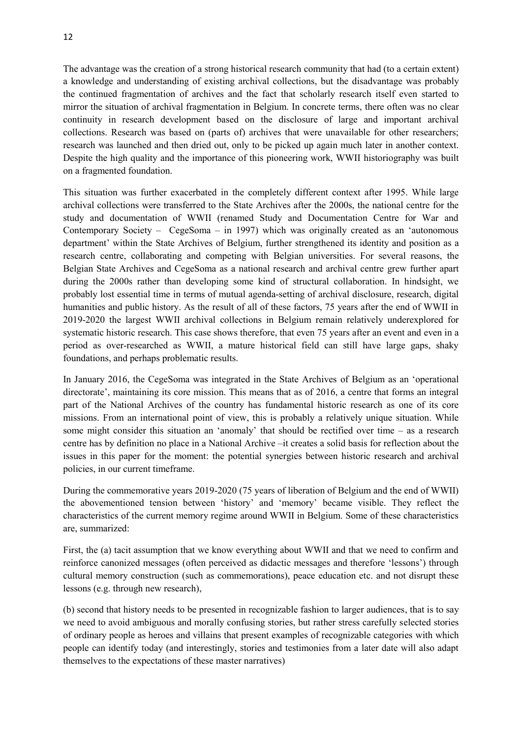The advantage was the creation of a strong historical research community that had (to a certain extent) a knowledge and understanding of existing archival collections, but the disadvantage was probably the continued fragmentation of archives and the fact that scholarly research itself even started to mirror the situation of archival fragmentation in Belgium. In concrete terms, there often was no clear continuity in research development based on the disclosure of large and important archival collections. Research was based on (parts of) archives that were unavailable for other researchers; research was launched and then dried out, only to be picked up again much later in another context. Despite the high quality and the importance of this pioneering work, WWII historiography was built on a fragmented foundation.

This situation was further exacerbated in the completely different context after 1995. While large archival collections were transferred to the State Archives after the 2000s, the national centre for the study and documentation of WWII (renamed Study and Documentation Centre for War and Contemporary Society – CegeSoma – in 1997) which was originally created as an 'autonomous department' within the State Archives of Belgium, further strengthened its identity and position as a research centre, collaborating and competing with Belgian universities. For several reasons, the Belgian State Archives and CegeSoma as a national research and archival centre grew further apart during the 2000s rather than developing some kind of structural collaboration. In hindsight, we probably lost essential time in terms of mutual agenda-setting of archival disclosure, research, digital humanities and public history. As the result of all of these factors, 75 years after the end of WWII in 2019-2020 the largest WWII archival collections in Belgium remain relatively underexplored for systematic historic research. This case shows therefore, that even 75 years after an event and even in a period as over-researched as WWII, a mature historical field can still have large gaps, shaky foundations, and perhaps problematic results.

In January 2016, the CegeSoma was integrated in the State Archives of Belgium as an 'operational directorate', maintaining its core mission. This means that as of 2016, a centre that forms an integral part of the National Archives of the country has fundamental historic research as one of its core missions. From an international point of view, this is probably a relatively unique situation. While some might consider this situation an 'anomaly' that should be rectified over time – as a research centre has by definition no place in a National Archive –it creates a solid basis for reflection about the issues in this paper for the moment: the potential synergies between historic research and archival policies, in our current timeframe.

During the commemorative years 2019-2020 (75 years of liberation of Belgium and the end of WWII) the abovementioned tension between 'history' and 'memory' became visible. They reflect the characteristics of the current memory regime around WWII in Belgium. Some of these characteristics are, summarized:

First, the (a) tacit assumption that we know everything about WWII and that we need to confirm and reinforce canonized messages (often perceived as didactic messages and therefore 'lessons') through cultural memory construction (such as commemorations), peace education etc. and not disrupt these lessons (e.g. through new research),

(b) second that history needs to be presented in recognizable fashion to larger audiences, that is to say we need to avoid ambiguous and morally confusing stories, but rather stress carefully selected stories of ordinary people as heroes and villains that present examples of recognizable categories with which people can identify today (and interestingly, stories and testimonies from a later date will also adapt themselves to the expectations of these master narratives)